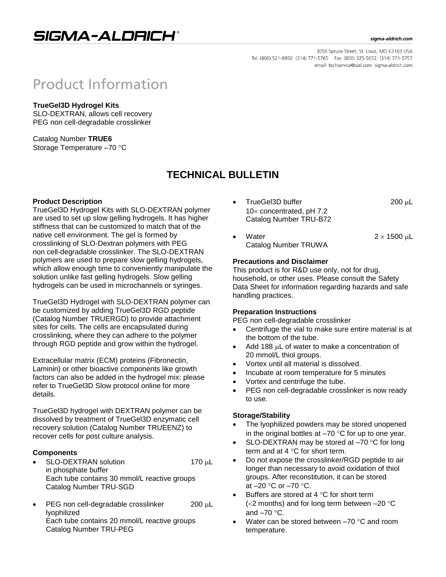# SIGMA-ALDRICH®

#### sigma-aldrich.com

3050 Spruce Street, St. Louis, MO 63103 USA Tel: (800) 521-8956 (314) 771-5765 Fax: (800) 325-5052 (314) 771-5757 email: techservice@sial.com sigma-aldrich.com

# **Product Information**

# **TrueGel3D Hydrogel Kits**

SLO-DEXTRAN, allows cell recovery PEG non cell-degradable crosslinker

Catalog Number **TRUE6** Storage Temperature -70 °C

# **TECHNICAL BULLETIN**

# **Product Description**

TrueGel3D Hydrogel Kits with SLO-DEXTRAN polymer are used to set up slow gelling hydrogels. It has higher stiffness that can be customized to match that of the native cell environment. The gel is formed by crosslinking of SLO-Dextran polymers with PEG non cell-degradable crosslinker. The SLO-DEXTRAN polymers are used to prepare slow gelling hydrogels, which allow enough time to conveniently manipulate the solution unlike fast gelling hydrogels. Slow gelling hydrogels can be used in microchannels or syringes.

TrueGel3D Hydrogel with SLO-DEXTRAN polymer can be customized by adding TrueGel3D RGD peptide (Catalog Number TRUERGD) to provide attachment sites for cells. The cells are encapsulated during crosslinking, where they can adhere to the polymer through RGD peptide and grow within the hydrogel.

Extracellular matrix (ECM) proteins (Fibronectin, Laminin) or other bioactive components like growth factors can also be added in the hydrogel mix: please refer to TrueGel3D Slow protocol online for more details.

TrueGel3D hydrogel with DEXTRAN polymer can be dissolved by treatment of TrueGel3D enzymatic cell recovery solution (Catalog Number TRUEENZ) to recover cells for post culture analysis.

# **Components**

- SLO-DEXTRAN solution 170 µL in phosphate buffer Each tube contains 30 mmol/L reactive groups Catalog Number TRU-SGD
- PEG non cell-degradable crosslinker  $200 \mu L$ lyophilized Each tube contains 20 mmol/L reactive groups Catalog Number TRU-PEG
- TrueGel3D buffer 200 L  $10\times$  concentrated, pH 7.2 Catalog Number TRU-B72
- Water  $2 \times 1500 \text{ }\mu\text{L}$ Catalog Number TRUWA

# **Precautions and Disclaimer**

This product is for R&D use only, not for drug, household, or other uses. Please consult the Safety Data Sheet for information regarding hazards and safe handling practices.

# **Preparation Instructions**

PEG non cell-degradable crosslinker

- Centrifuge the vial to make sure entire material is at the bottom of the tube.
- Add 188 uL of water to make a concentration of 20 mmol/L thiol groups.
- Vortex until all material is dissolved.
- Incubate at room temperature for 5 minutes
- Vortex and centrifuge the tube.
- PEG non cell-degradable crosslinker is now ready to use.

# **Storage/Stability**

- The lyophilized powders may be stored unopened in the original bottles at  $-70$  °C for up to one year.
- SLO-DEXTRAN may be stored at  $-70$  °C for long term and at  $4^{\circ}$ C for short term.
- Do not expose the crosslinker/RGD peptide to air longer than necessary to avoid oxidation of thiol groups. After reconstitution, it can be stored at  $-20$  °C or  $-70$  °C.
- Buffers are stored at  $4^{\circ}$ C for short term ( $<$ 2 months) and for long term between  $-20$  °C and  $-70$  °C.
- Water can be stored between  $-70$  °C and room temperature.